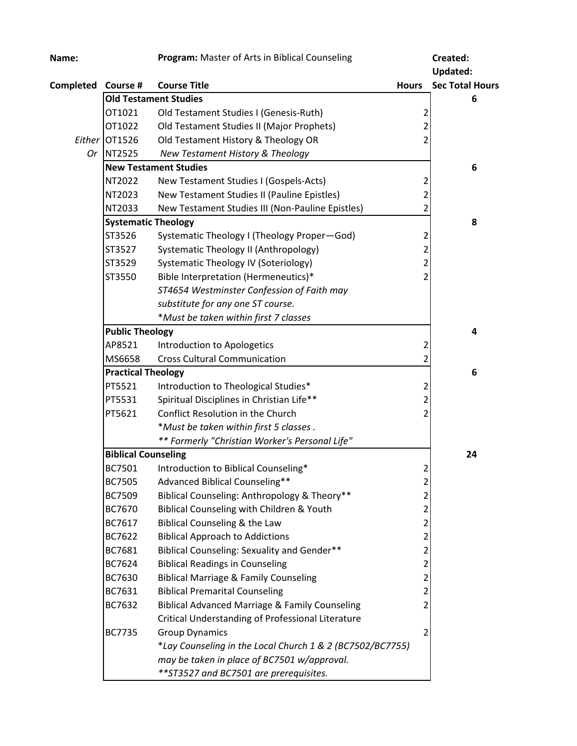| Name:              |                              | Program: Master of Arts in Biblical Counseling            |                         | Created:               |
|--------------------|------------------------------|-----------------------------------------------------------|-------------------------|------------------------|
|                    |                              |                                                           |                         | <b>Updated:</b>        |
| Completed Course # |                              | <b>Course Title</b>                                       | <b>Hours</b>            | <b>Sec Total Hours</b> |
|                    |                              | <b>Old Testament Studies</b>                              |                         | 6                      |
|                    | OT1021                       | Old Testament Studies I (Genesis-Ruth)                    | 2                       |                        |
|                    | OT1022                       | Old Testament Studies II (Major Prophets)                 | $\overline{c}$          |                        |
|                    | Either OT1526                | Old Testament History & Theology OR                       | $\overline{2}$          |                        |
| 0r                 | NT2525                       | New Testament History & Theology                          |                         |                        |
|                    | <b>New Testament Studies</b> |                                                           | 6                       |                        |
|                    | NT2022                       | New Testament Studies I (Gospels-Acts)                    | 2                       |                        |
|                    | NT2023                       | New Testament Studies II (Pauline Epistles)               | $\overline{\mathbf{c}}$ |                        |
|                    | NT2033                       | New Testament Studies III (Non-Pauline Epistles)          | $\overline{2}$          |                        |
|                    | <b>Systematic Theology</b>   |                                                           |                         | 8                      |
|                    | ST3526                       | Systematic Theology I (Theology Proper-God)               | 2                       |                        |
|                    | ST3527                       | Systematic Theology II (Anthropology)                     | $\overline{\mathbf{c}}$ |                        |
|                    | ST3529                       | Systematic Theology IV (Soteriology)                      | $\overline{c}$          |                        |
|                    | ST3550                       | Bible Interpretation (Hermeneutics)*                      | $\overline{2}$          |                        |
|                    |                              | ST4654 Westminster Confession of Faith may                |                         |                        |
|                    |                              | substitute for any one ST course.                         |                         |                        |
|                    |                              | *Must be taken within first 7 classes                     |                         |                        |
|                    | <b>Public Theology</b>       |                                                           |                         | 4                      |
|                    | AP8521                       | Introduction to Apologetics                               | 2                       |                        |
|                    | MS6658                       | <b>Cross Cultural Communication</b>                       | 2                       |                        |
|                    | <b>Practical Theology</b>    |                                                           | 6                       |                        |
|                    | PT5521                       | Introduction to Theological Studies*                      | 2                       |                        |
|                    | PT5531                       | Spiritual Disciplines in Christian Life**                 | $\overline{2}$          |                        |
|                    | PT5621                       | Conflict Resolution in the Church                         | $\overline{c}$          |                        |
|                    |                              | *Must be taken within first 5 classes.                    |                         |                        |
|                    |                              | ** Formerly "Christian Worker's Personal Life"            |                         |                        |
|                    | <b>Biblical Counseling</b>   |                                                           |                         | 24                     |
|                    | BC7501                       | Introduction to Biblical Counseling*                      | $\overline{2}$          |                        |
|                    | <b>BC7505</b>                | Advanced Biblical Counseling**                            | 2                       |                        |
|                    | BC7509                       | Biblical Counseling: Anthropology & Theory**              | $\overline{\mathbf{c}}$ |                        |
|                    | BC7670                       | Biblical Counseling with Children & Youth                 | $\overline{\mathbf{c}}$ |                        |
|                    | BC7617                       | Biblical Counseling & the Law                             | $\overline{c}$          |                        |
|                    | BC7622                       | <b>Biblical Approach to Addictions</b>                    | $\overline{c}$          |                        |
|                    | BC7681                       | Biblical Counseling: Sexuality and Gender**               | $\overline{2}$          |                        |
|                    | BC7624                       | <b>Biblical Readings in Counseling</b>                    | $\overline{2}$          |                        |
|                    | BC7630                       | <b>Biblical Marriage &amp; Family Counseling</b>          | $\overline{\mathbf{c}}$ |                        |
|                    | BC7631                       | <b>Biblical Premarital Counseling</b>                     | $\overline{2}$          |                        |
|                    | BC7632                       | <b>Biblical Advanced Marriage &amp; Family Counseling</b> | 2                       |                        |
|                    |                              | Critical Understanding of Professional Literature         |                         |                        |
|                    | <b>BC7735</b>                | <b>Group Dynamics</b>                                     | 2                       |                        |
|                    |                              | *Lay Counseling in the Local Church 1 & 2 (BC7502/BC7755) |                         |                        |
|                    |                              | may be taken in place of BC7501 w/approval.               |                         |                        |
|                    |                              | ** ST3527 and BC7501 are prerequisites.                   |                         |                        |